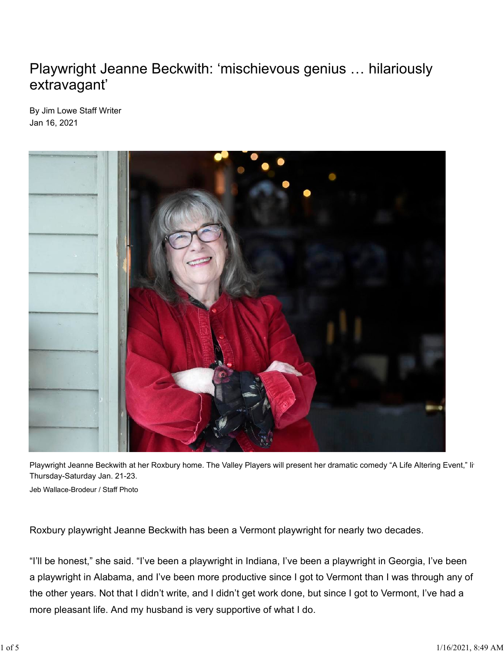## Playwright Jeanne Beckwith: 'mischievous genius … hilariously extravagant'

By Jim Lowe Staff Writer Jan 16, 2021



Playwright Jeanne Beckwith at her Roxbury home. The Valley Players will present her dramatic comedy "A Life Altering Event," li<sup>t</sup> Thursday-Saturday Jan. 21-23. Jeb Wallace-Brodeur / Staff Photo

Roxbury playwright Jeanne Beckwith has been a Vermont playwright for nearly two decades.

"I'll be honest," she said. "I've been a playwright in Indiana, I've been a playwright in Georgia, I've been a playwright in Alabama, and I've been more productive since I got to Vermont than I was through any of the other years. Not that I didn't write, and I didn't get work done, but since I got to Vermont, I've had a more pleasant life. And my husband is very supportive of what I do.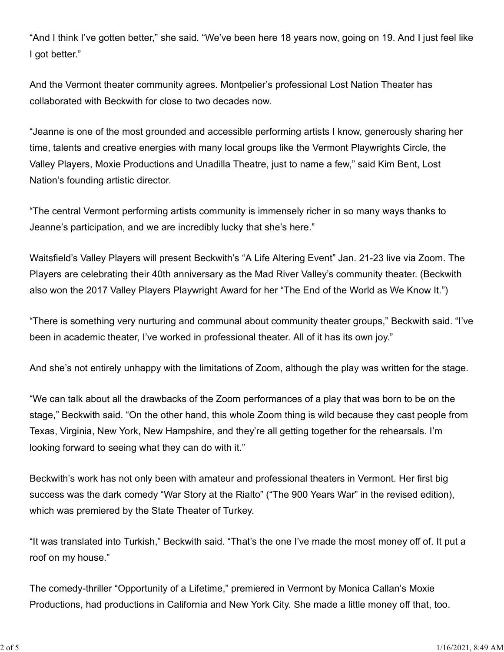"And I think I've gotten better," she said. "We've been here 18 years now, going on 19. And I just feel like I got better."

And the Vermont theater community agrees. Montpelier's professional Lost Nation Theater has collaborated with Beckwith for close to two decades now.

"Jeanne is one of the most grounded and accessible performing artists I know, generously sharing her time, talents and creative energies with many local groups like the Vermont Playwrights Circle, the Valley Players, Moxie Productions and Unadilla Theatre, just to name a few," said Kim Bent, Lost Nation's founding artistic director.

"The central Vermont performing artists community is immensely richer in so many ways thanks to Jeanne's participation, and we are incredibly lucky that she's here."

Waitsfield's Valley Players will present Beckwith's "A Life Altering Event" Jan. 21-23 live via Zoom. The Players are celebrating their 40th anniversary as the Mad River Valley's community theater. (Beckwith also won the 2017 Valley Players Playwright Award for her "The End of the World as We Know It.")

"There is something very nurturing and communal about community theater groups," Beckwith said. "I've been in academic theater, I've worked in professional theater. All of it has its own joy."

And she's not entirely unhappy with the limitations of Zoom, although the play was written for the stage.

"We can talk about all the drawbacks of the Zoom performances of a play that was born to be on the stage," Beckwith said. "On the other hand, this whole Zoom thing is wild because they cast people from Texas, Virginia, New York, New Hampshire, and they're all getting together for the rehearsals. I'm looking forward to seeing what they can do with it."

Beckwith's work has not only been with amateur and professional theaters in Vermont. Her first big success was the dark comedy "War Story at the Rialto" ("The 900 Years War" in the revised edition), which was premiered by the State Theater of Turkey.

"It was translated into Turkish," Beckwith said. "That's the one I've made the most money off of. It put a roof on my house."

The comedy-thriller "Opportunity of a Lifetime," premiered in Vermont by Monica Callan's Moxie Productions, had productions in California and New York City. She made a little money off that, too.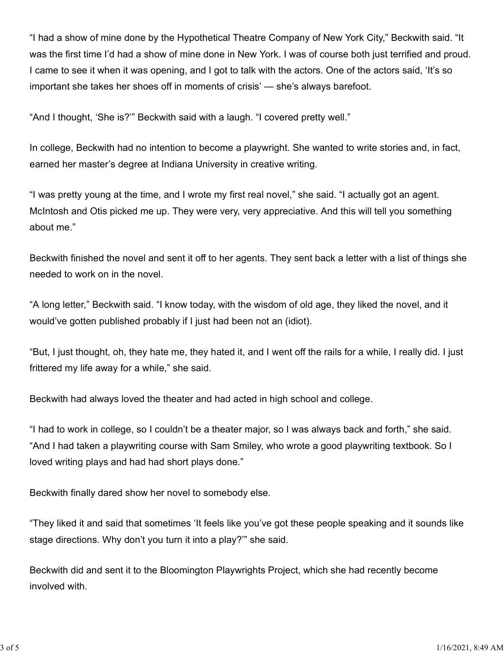"I had a show of mine done by the Hypothetical Theatre Company of New York City," Beckwith said. "It was the first time I'd had a show of mine done in New York. I was of course both just terrified and proud. I came to see it when it was opening, and I got to talk with the actors. One of the actors said, 'It's so important she takes her shoes off in moments of crisis' — she's always barefoot.

"And I thought, 'She is?'" Beckwith said with a laugh. "I covered pretty well."

In college, Beckwith had no intention to become a playwright. She wanted to write stories and, in fact, earned her master's degree at Indiana University in creative writing.

"I was pretty young at the time, and I wrote my first real novel," she said. "I actually got an agent. McIntosh and Otis picked me up. They were very, very appreciative. And this will tell you something about me."

Beckwith finished the novel and sent it off to her agents. They sent back a letter with a list of things she needed to work on in the novel.

"A long letter," Beckwith said. "I know today, with the wisdom of old age, they liked the novel, and it would've gotten published probably if I just had been not an (idiot).

"But, I just thought, oh, they hate me, they hated it, and I went off the rails for a while, I really did. I just frittered my life away for a while," she said.

Beckwith had always loved the theater and had acted in high school and college.

"I had to work in college, so I couldn't be a theater major, so I was always back and forth," she said. "And I had taken a playwriting course with Sam Smiley, who wrote a good playwriting textbook. So I loved writing plays and had had short plays done."

Beckwith finally dared show her novel to somebody else.

"They liked it and said that sometimes 'It feels like you've got these people speaking and it sounds like stage directions. Why don't you turn it into a play?'" she said.

Beckwith did and sent it to the Bloomington Playwrights Project, which she had recently become involved with.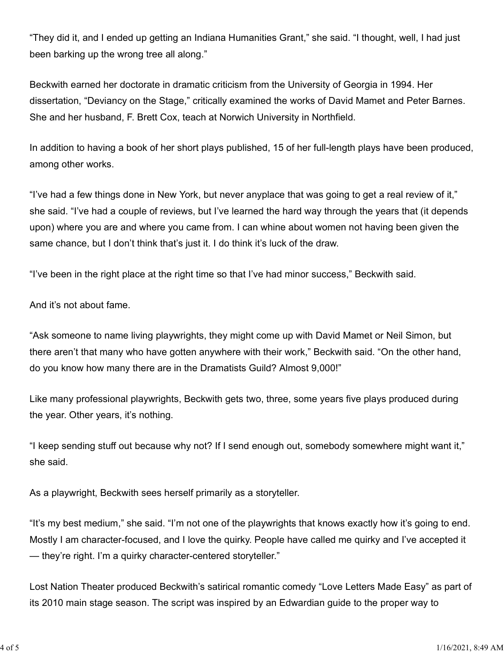"They did it, and I ended up getting an Indiana Humanities Grant," she said. "I thought, well, I had just been barking up the wrong tree all along."

Beckwith earned her doctorate in dramatic criticism from the University of Georgia in 1994. Her dissertation, "Deviancy on the Stage," critically examined the works of David Mamet and Peter Barnes. She and her husband, F. Brett Cox, teach at Norwich University in Northfield.

In addition to having a book of her short plays published, 15 of her full-length plays have been produced, among other works.

"I've had a few things done in New York, but never anyplace that was going to get a real review of it," she said. "I've had a couple of reviews, but I've learned the hard way through the years that (it depends upon) where you are and where you came from. I can whine about women not having been given the same chance, but I don't think that's just it. I do think it's luck of the draw.

"I've been in the right place at the right time so that I've had minor success," Beckwith said.

And it's not about fame.

"Ask someone to name living playwrights, they might come up with David Mamet or Neil Simon, but there aren't that many who have gotten anywhere with their work," Beckwith said. "On the other hand, do you know how many there are in the Dramatists Guild? Almost 9,000!"

Like many professional playwrights, Beckwith gets two, three, some years five plays produced during the year. Other years, it's nothing.

"I keep sending stuff out because why not? If I send enough out, somebody somewhere might want it," she said.

As a playwright, Beckwith sees herself primarily as a storyteller.

"It's my best medium," she said. "I'm not one of the playwrights that knows exactly how it's going to end. Mostly I am character-focused, and I love the quirky. People have called me quirky and I've accepted it — they're right. I'm a quirky character-centered storyteller."

Lost Nation Theater produced Beckwith's satirical romantic comedy "Love Letters Made Easy" as part of its 2010 main stage season. The script was inspired by an Edwardian guide to the proper way to